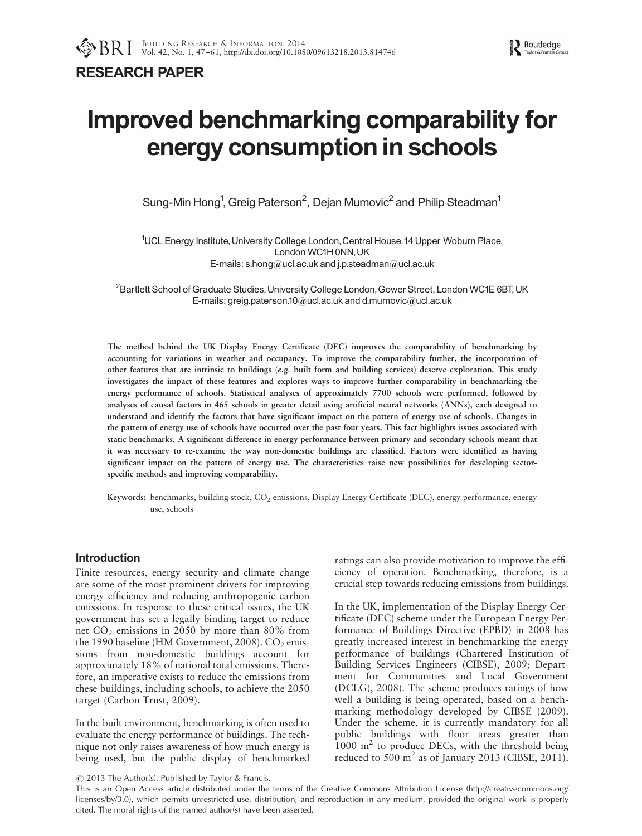RESEARCH PAPER

# Improved benchmarking comparability for energy consumption in schools

Sung-Min Hong<sup>1</sup>, Greig Paterson<sup>2</sup>, Dejan Mumovic<sup>2</sup> and Philip Steadman<sup>1</sup>

<sup>1</sup>UCL Energy Institute, University College London, Central House, 14 Upper Woburn Place, London WC1H 0NN, UK E-mails: s.hong@ucl.ac.uk and j.p.steadman@ucl.ac.uk

 ${}^{2}$ Bartlett School of Graduate Studies, University College London, Gower Street, London WC1E 6BT, UK E-mails: greig.paterson.10@ucl.ac.uk and d.mumovic@ucl.ac.uk

The method behind the UK Display Energy Certificate (DEC) improves the comparability of benchmarking by accounting for variations in weather and occupancy. To improve the comparability further, the incorporation of other features that are intrinsic to buildings (e.g. built form and building services) deserve exploration. This study investigates the impact of these features and explores ways to improve further comparability in benchmarking the energy performance of schools. Statistical analyses of approximately 7700 schools were performed, followed by analyses of causal factors in 465 schools in greater detail using artificial neural networks (ANNs), each designed to understand and identify the factors that have significant impact on the pattern of energy use of schools. Changes in the pattern of energy use of schools have occurred over the past four years. This fact highlights issues associated with static benchmarks. A significant difference in energy performance between primary and secondary schools meant that it was necessary to re-examine the way non-domestic buildings are classified. Factors were identified as having significant impact on the pattern of energy use. The characteristics raise new possibilities for developing sectorspecific methods and improving comparability.

Keywords: benchmarks, building stock, CO<sub>2</sub> emissions, Display Energy Certificate (DEC), energy performance, energy use, schools

# Introduction

Finite resources, energy security and climate change are some of the most prominent drivers for improving energy efficiency and reducing anthropogenic carbon emissions. In response to these critical issues, the UK government has set a legally binding target to reduce net  $CO<sub>2</sub>$  emissions in 2050 by more than 80% from the 1990 baseline (HM Government, 2008).  $CO<sub>2</sub>$  emissions from non-domestic buildings account for approximately 18% of national total emissions. Therefore, an imperative exists to reduce the emissions from these buildings, including schools, to achieve the 2050 target (Carbon Trust, 2009).

In the built environment, benchmarking is often used to evaluate the energy performance of buildings. The technique not only raises awareness of how much energy is being used, but the public display of benchmarked ratings can also provide motivation to improve the efficiency of operation. Benchmarking, therefore, is a crucial step towards reducing emissions from buildings.

In the UK, implementation of the Display Energy Certificate (DEC) scheme under the European Energy Performance of Buildings Directive (EPBD) in 2008 has greatly increased interest in benchmarking the energy performance of buildings (Chartered Institution of Building Services Engineers (CIBSE), 2009; Department for Communities and Local Government (DCLG), 2008). The scheme produces ratings of how well a building is being operated, based on a benchmarking methodology developed by CIBSE (2009). Under the scheme, it is currently mandatory for all public buildings with floor areas greater than  $1000 \text{ m}^2$  to produce DECs, with the threshold being reduced to 500  $m<sup>2</sup>$  as of January 2013 (CIBSE, 2011).

 $\circ$  2013 The Author(s). Published by Taylor & Francis.

This is an Open Access article distributed under the terms of the Creative Commons Attribution License (http://creativecommons.org/ licenses/by/3.0), which permits unrestricted use, distribution, and reproduction in any medium, provided the original work is properly cited. The moral rights of the named author(s) have been asserted.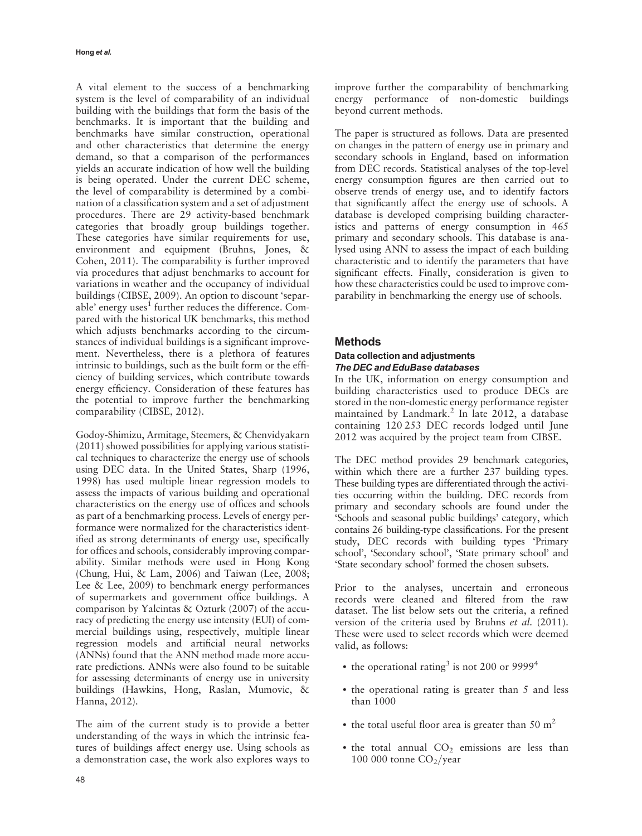A vital element to the success of a benchmarking system is the level of comparability of an individual building with the buildings that form the basis of the benchmarks. It is important that the building and benchmarks have similar construction, operational and other characteristics that determine the energy demand, so that a comparison of the performances yields an accurate indication of how well the building is being operated. Under the current DEC scheme, the level of comparability is determined by a combination of a classification system and a set of adjustment procedures. There are 29 activity-based benchmark categories that broadly group buildings together. These categories have similar requirements for use, environment and equipment (Bruhns, Jones, & Cohen, 2011). The comparability is further improved via procedures that adjust benchmarks to account for variations in weather and the occupancy of individual buildings (CIBSE, 2009). An option to discount 'separable' energy uses $<sup>1</sup>$  further reduces the difference. Com-</sup> pared with the historical UK benchmarks, this method which adjusts benchmarks according to the circumstances of individual buildings is a significant improvement. Nevertheless, there is a plethora of features intrinsic to buildings, such as the built form or the efficiency of building services, which contribute towards energy efficiency. Consideration of these features has the potential to improve further the benchmarking comparability (CIBSE, 2012).

Godoy-Shimizu, Armitage, Steemers, & Chenvidyakarn (2011) showed possibilities for applying various statistical techniques to characterize the energy use of schools using DEC data. In the United States, Sharp (1996, 1998) has used multiple linear regression models to assess the impacts of various building and operational characteristics on the energy use of offices and schools as part of a benchmarking process. Levels of energy performance were normalized for the characteristics identified as strong determinants of energy use, specifically for offices and schools, considerably improving comparability. Similar methods were used in Hong Kong (Chung, Hui, & Lam, 2006) and Taiwan (Lee, 2008; Lee & Lee, 2009) to benchmark energy performances of supermarkets and government office buildings. A comparison by Yalcintas & Ozturk (2007) of the accuracy of predicting the energy use intensity (EUI) of commercial buildings using, respectively, multiple linear regression models and artificial neural networks (ANNs) found that the ANN method made more accurate predictions. ANNs were also found to be suitable for assessing determinants of energy use in university buildings (Hawkins, Hong, Raslan, Mumovic, & Hanna, 2012).

The aim of the current study is to provide a better understanding of the ways in which the intrinsic features of buildings affect energy use. Using schools as a demonstration case, the work also explores ways to improve further the comparability of benchmarking energy performance of non-domestic buildings beyond current methods.

The paper is structured as follows. Data are presented on changes in the pattern of energy use in primary and secondary schools in England, based on information from DEC records. Statistical analyses of the top-level energy consumption figures are then carried out to observe trends of energy use, and to identify factors that significantly affect the energy use of schools. A database is developed comprising building characteristics and patterns of energy consumption in 465 primary and secondary schools. This database is analysed using ANN to assess the impact of each building characteristic and to identify the parameters that have significant effects. Finally, consideration is given to how these characteristics could be used to improve comparability in benchmarking the energy use of schools.

## Methods

#### Data collection and adjustments The DEC and EduBase databases

In the UK, information on energy consumption and building characteristics used to produce DECs are stored in the non-domestic energy performance register maintained by Landmark.<sup>2</sup> In late 2012, a database containing 120 253 DEC records lodged until June 2012 was acquired by the project team from CIBSE.

The DEC method provides 29 benchmark categories, within which there are a further 237 building types. These building types are differentiated through the activities occurring within the building. DEC records from primary and secondary schools are found under the 'Schools and seasonal public buildings' category, which contains 26 building-type classifications. For the present study, DEC records with building types 'Primary school', 'Secondary school', 'State primary school' and 'State secondary school' formed the chosen subsets.

Prior to the analyses, uncertain and erroneous records were cleaned and filtered from the raw dataset. The list below sets out the criteria, a refined version of the criteria used by Bruhns et al. (2011). These were used to select records which were deemed valid, as follows:

- the operational rating<sup>3</sup> is not 200 or 9999<sup>4</sup>
- . the operational rating is greater than 5 and less than 1000
- the total useful floor area is greater than 50  $m<sup>2</sup>$
- $\bullet$  the total annual  $CO<sub>2</sub>$  emissions are less than 100 000 tonne  $CO<sub>2</sub>/year$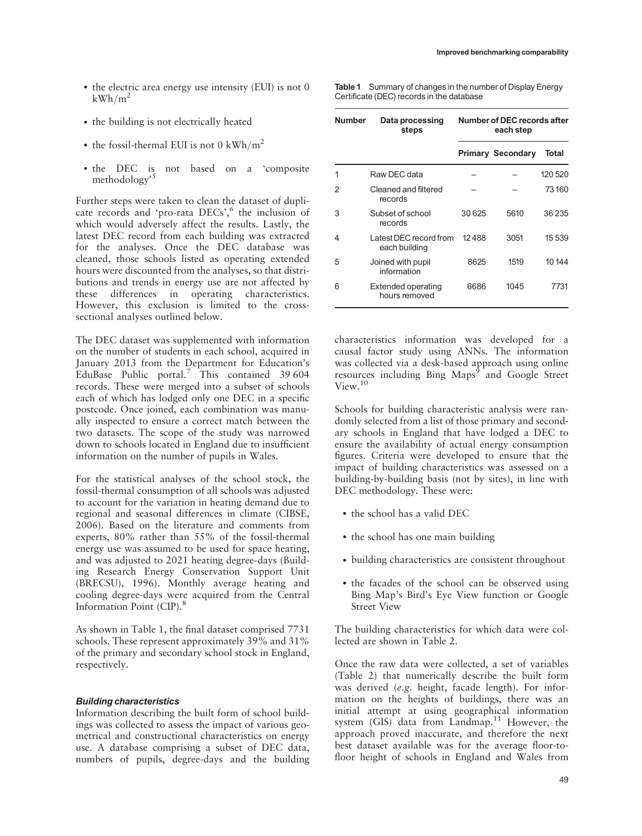- . the building is not electrically heated
- the fossil-thermal EUI is not 0 kWh/m<sup>2</sup>
- . the DEC is not based on a 'composite methodology'<sup>5</sup>

Further steps were taken to clean the dataset of duplicate records and 'pro-rata DECs',<sup>6</sup> the inclusion of which would adversely affect the results. Lastly, the latest DEC record from each building was extracted for the analyses. Once the DEC database was cleaned, those schools listed as operating extended hours were discounted from the analyses, so that distributions and trends in energy use are not affected by these differences in operating characteristics. However, this exclusion is limited to the crosssectional analyses outlined below.

The DEC dataset was supplemented with information on the number of students in each school, acquired in January 2013 from the Department for Education's EduBase Public portal.<sup>7</sup> This contained 39 604 records. These were merged into a subset of schools each of which has lodged only one DEC in a specific postcode. Once joined, each combination was manually inspected to ensure a correct match between the two datasets. The scope of the study was narrowed down to schools located in England due to insufficient information on the number of pupils in Wales.

For the statistical analyses of the school stock, the fossil-thermal consumption of all schools was adjusted to account for the variation in heating demand due to regional and seasonal differences in climate (CIBSE, 2006). Based on the literature and comments from experts, 80% rather than 55% of the fossil-thermal energy use was assumed to be used for space heating, and was adjusted to 2021 heating degree-days (Building Research Energy Conservation Support Unit (BRECSU), 1996). Monthly average heating and cooling degree-days were acquired from the Central Information Point (CIP).<sup>8</sup>

As shown in Table 1, the final dataset comprised 7731 schools. These represent approximately 39% and 31% of the primary and secondary school stock in England, respectively.

## Building characteristics

Information describing the built form of school buildings was collected to assess the impact of various geometrical and constructional characteristics on energy use. A database comprising a subset of DEC data, numbers of pupils, degree-days and the building Table 1 Summary of changes in the number of Display Energy Certificate (DEC) records in the database

| Number | Data processing<br>steps                | Number of DEC records after<br>each step |                          |         |
|--------|-----------------------------------------|------------------------------------------|--------------------------|---------|
|        |                                         |                                          | <b>Primary Secondary</b> | Total   |
| 1      | Raw DEC data                            |                                          |                          | 120 520 |
| 2      | Cleaned and filtered<br>records         |                                          |                          | 73 160  |
| 3      | Subset of school<br>records             | 30 625                                   | 5610                     | 36 235  |
| 4      | Latest DEC record from<br>each building | 12488                                    | 3051                     | 15 539  |
| 5      | Joined with pupil<br>information        | 8625                                     | 1519                     | 10 144  |
| 6      | Extended operating<br>hours removed     | 6686                                     | 1045                     | 7731    |

characteristics information was developed for a causal factor study using ANNs. The information was collected via a desk-based approach using online resources including Bing Maps<sup>9</sup> and Google Street View.<sup>10</sup>

Schools for building characteristic analysis were randomly selected from a list of those primary and secondary schools in England that have lodged a DEC to ensure the availability of actual energy consumption figures. Criteria were developed to ensure that the impact of building characteristics was assessed on a building-by-building basis (not by sites), in line with DEC methodology. These were:

- . the school has a valid DEC
- the school has one main building
- . building characteristics are consistent throughout
- . the facades of the school can be observed using Bing Map's Bird's Eye View function or Google Street View

The building characteristics for which data were collected are shown in Table 2.

Once the raw data were collected, a set of variables (Table 2) that numerically describe the built form was derived (e.g. height, facade length). For information on the heights of buildings, there was an initial attempt at using geographical information system (GIS) data from Landmap.<sup>11</sup> However, the approach proved inaccurate, and therefore the next best dataset available was for the average floor-tofloor height of schools in England and Wales from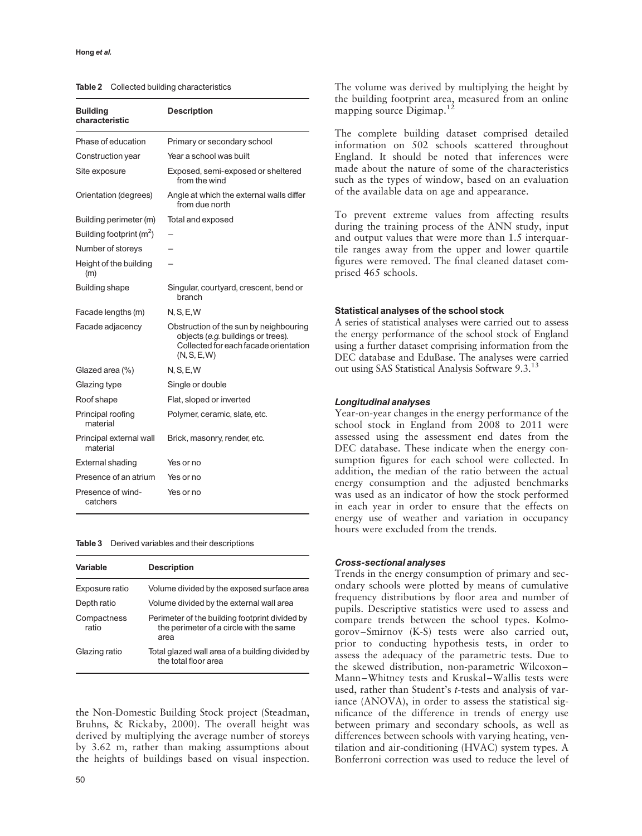#### Hong et al.

Table 2 Collected building characteristics

| <b>Building</b><br>characteristic   | <b>Description</b>                                                                                                                    |
|-------------------------------------|---------------------------------------------------------------------------------------------------------------------------------------|
| Phase of education                  | Primary or secondary school                                                                                                           |
| Construction year                   | Year a school was built                                                                                                               |
| Site exposure                       | Exposed, semi-exposed or sheltered<br>from the wind                                                                                   |
| Orientation (degrees)               | Angle at which the external walls differ<br>from due north                                                                            |
| Building perimeter (m)              | Total and exposed                                                                                                                     |
| Building footprint $(m^2)$          |                                                                                                                                       |
| Number of storeys                   |                                                                                                                                       |
| Height of the building<br>(m)       |                                                                                                                                       |
| <b>Building shape</b>               | Singular, courtyard, crescent, bend or<br>branch                                                                                      |
| Facade lengths (m)                  | N, S, E, W                                                                                                                            |
| Facade adjacency                    | Obstruction of the sun by neighbouring<br>objects (e.g. buildings or trees).<br>Collected for each facade orientation<br>(N, S, E, W) |
| Glazed area (%)                     | N, S, E, W                                                                                                                            |
| Glazing type                        | Single or double                                                                                                                      |
| Roof shape                          | Flat, sloped or inverted                                                                                                              |
| Principal roofing<br>material       | Polymer, ceramic, slate, etc.                                                                                                         |
| Principal external wall<br>material | Brick, masonry, render, etc.                                                                                                          |
| External shading                    | Yes or no                                                                                                                             |
| Presence of an atrium               | Yes or no                                                                                                                             |
| Presence of wind-<br>catchers       | Yes or no                                                                                                                             |

#### Table 3 Derived variables and their descriptions

| Variable             | <b>Description</b>                                                                                |
|----------------------|---------------------------------------------------------------------------------------------------|
| Exposure ratio       | Volume divided by the exposed surface area                                                        |
| Depth ratio          | Volume divided by the external wall area                                                          |
| Compactness<br>ratio | Perimeter of the building footprint divided by<br>the perimeter of a circle with the same<br>area |
| Glazing ratio        | Total glazed wall area of a building divided by<br>the total floor area                           |

the Non-Domestic Building Stock project (Steadman, Bruhns, & Rickaby, 2000). The overall height was derived by multiplying the average number of storeys by 3.62 m, rather than making assumptions about the heights of buildings based on visual inspection. The volume was derived by multiplying the height by the building footprint area, measured from an online mapping source Digimap.<sup>12</sup>

The complete building dataset comprised detailed information on 502 schools scattered throughout England. It should be noted that inferences were made about the nature of some of the characteristics such as the types of window, based on an evaluation of the available data on age and appearance.

To prevent extreme values from affecting results during the training process of the ANN study, input and output values that were more than 1.5 interquartile ranges away from the upper and lower quartile figures were removed. The final cleaned dataset comprised 465 schools.

#### Statistical analyses of the school stock

A series of statistical analyses were carried out to assess the energy performance of the school stock of England using a further dataset comprising information from the DEC database and EduBase. The analyses were carried out using SAS Statistical Analysis Software 9.3.13

#### Longitudinal analyses

Year-on-year changes in the energy performance of the school stock in England from 2008 to 2011 were assessed using the assessment end dates from the DEC database. These indicate when the energy consumption figures for each school were collected. In addition, the median of the ratio between the actual energy consumption and the adjusted benchmarks was used as an indicator of how the stock performed in each year in order to ensure that the effects on energy use of weather and variation in occupancy hours were excluded from the trends.

#### Cross-sectional analyses

Trends in the energy consumption of primary and secondary schools were plotted by means of cumulative frequency distributions by floor area and number of pupils. Descriptive statistics were used to assess and compare trends between the school types. Kolmogorov –Smirnov (K-S) tests were also carried out, prior to conducting hypothesis tests, in order to assess the adequacy of the parametric tests. Due to the skewed distribution, non-parametric Wilcoxon – Mann –Whitney tests and Kruskal –Wallis tests were used, rather than Student's t-tests and analysis of variance (ANOVA), in order to assess the statistical significance of the difference in trends of energy use between primary and secondary schools, as well as differences between schools with varying heating, ventilation and air-conditioning (HVAC) system types. A Bonferroni correction was used to reduce the level of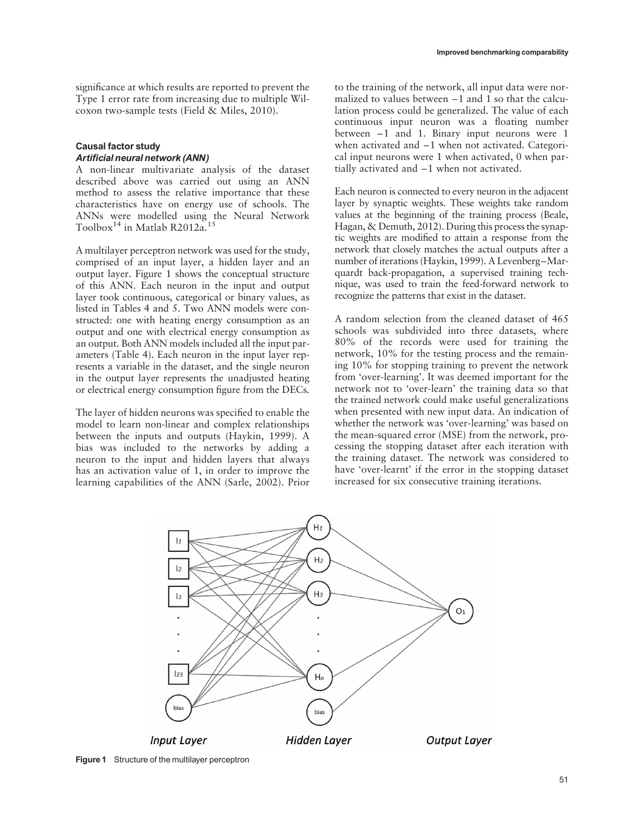significance at which results are reported to prevent the Type 1 error rate from increasing due to multiple Wilcoxon two-sample tests (Field & Miles, 2010).

## Causal factor study Artificial neural network (ANN)

A non-linear multivariate analysis of the dataset described above was carried out using an ANN method to assess the relative importance that these characteristics have on energy use of schools. The ANNs were modelled using the Neural Network Toolbox<sup>14</sup> in Matlab R2012a.<sup>15</sup>

A multilayer perceptron network was used for the study, comprised of an input layer, a hidden layer and an output layer. Figure 1 shows the conceptual structure of this ANN. Each neuron in the input and output layer took continuous, categorical or binary values, as listed in Tables 4 and 5. Two ANN models were constructed: one with heating energy consumption as an output and one with electrical energy consumption as an output. Both ANN models included all the input parameters (Table 4). Each neuron in the input layer represents a variable in the dataset, and the single neuron in the output layer represents the unadjusted heating or electrical energy consumption figure from the DECs.

The layer of hidden neurons was specified to enable the model to learn non-linear and complex relationships between the inputs and outputs (Haykin, 1999). A bias was included to the networks by adding a neuron to the input and hidden layers that always has an activation value of 1, in order to improve the learning capabilities of the ANN (Sarle, 2002). Prior to the training of the network, all input data were normalized to values between –1 and 1 so that the calculation process could be generalized. The value of each continuous input neuron was a floating number between –1 and 1. Binary input neurons were 1 when activated and –1 when not activated. Categorical input neurons were 1 when activated, 0 when partially activated and –1 when not activated.

Each neuron is connected to every neuron in the adjacent layer by synaptic weights. These weights take random values at the beginning of the training process (Beale, Hagan, & Demuth, 2012). During this process the synaptic weights are modified to attain a response from the network that closely matches the actual outputs after a number of iterations (Haykin, 1999). A Levenberg–Marquardt back-propagation, a supervised training technique, was used to train the feed-forward network to recognize the patterns that exist in the dataset.

A random selection from the cleaned dataset of 465 schools was subdivided into three datasets, where 80% of the records were used for training the network, 10% for the testing process and the remaining 10% for stopping training to prevent the network from 'over-learning'. It was deemed important for the network not to 'over-learn' the training data so that the trained network could make useful generalizations when presented with new input data. An indication of whether the network was 'over-learning' was based on the mean-squared error (MSE) from the network, processing the stopping dataset after each iteration with the training dataset. The network was considered to have 'over-learnt' if the error in the stopping dataset increased for six consecutive training iterations.



Figure 1 Structure of the multilayer perceptron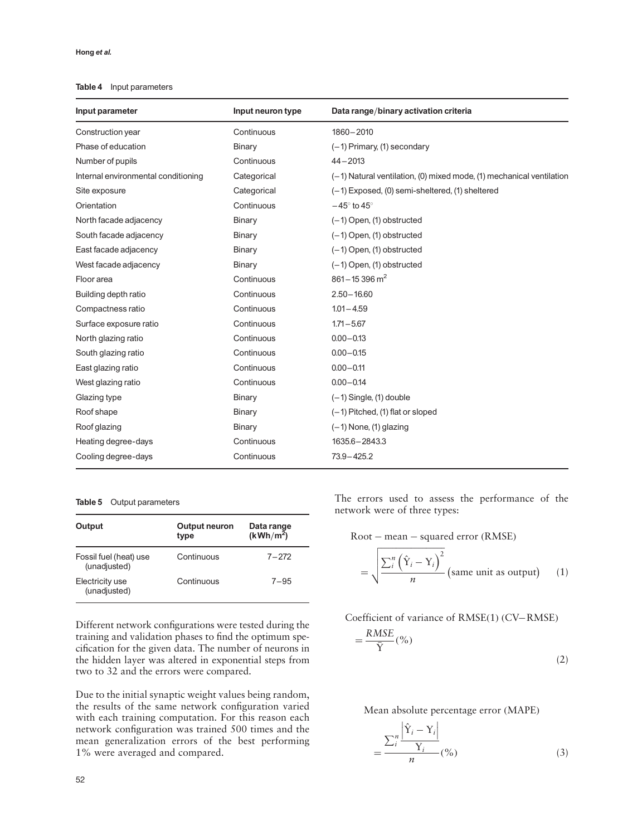#### Table 4 Input parameters

| Input parameter                     | Input neuron type | Data range/binary activation criteria                                |  |
|-------------------------------------|-------------------|----------------------------------------------------------------------|--|
| Construction year                   | Continuous        | 1860-2010                                                            |  |
| Phase of education                  | <b>Binary</b>     | $(-1)$ Primary, $(1)$ secondary                                      |  |
| Number of pupils                    | Continuous        | $44 - 2013$                                                          |  |
| Internal environmental conditioning | Categorical       | (-1) Natural ventilation, (0) mixed mode, (1) mechanical ventilation |  |
| Site exposure                       | Categorical       | (-1) Exposed, (0) semi-sheltered, (1) sheltered                      |  |
| Orientation                         | Continuous        | $-45^\circ$ to $45^\circ$                                            |  |
| North facade adjacency              | Binary            | $(-1)$ Open, $(1)$ obstructed                                        |  |
| South facade adjacency              | Binary            | $(-1)$ Open, $(1)$ obstructed                                        |  |
| East facade adjacency               | Binary            | $(-1)$ Open, $(1)$ obstructed                                        |  |
| West facade adjacency               | <b>Binary</b>     | $(-1)$ Open, $(1)$ obstructed                                        |  |
| Floor area                          | Continuous        | $861 - 15396$ m <sup>2</sup>                                         |  |
| Building depth ratio                | Continuous        | $2.50 - 16.60$                                                       |  |
| Compactness ratio                   | Continuous        | $1.01 - 4.59$                                                        |  |
| Surface exposure ratio              | Continuous        | $1.71 - 5.67$                                                        |  |
| North glazing ratio                 | Continuous        | $0.00 - 0.13$                                                        |  |
| South glazing ratio                 | Continuous        | $0.00 - 0.15$                                                        |  |
| East glazing ratio                  | Continuous        | $0.00 - 0.11$                                                        |  |
| West glazing ratio                  | Continuous        | $0.00 - 0.14$                                                        |  |
| Glazing type                        | Binary            | $(-1)$ Single, $(1)$ double                                          |  |
| Roof shape                          | <b>Binary</b>     | $(-1)$ Pitched, $(1)$ flat or sloped                                 |  |
| Roof glazing                        | Binary            | $(-1)$ None, $(1)$ glazing                                           |  |
| Heating degree-days                 | Continuous        | 1635.6 - 2843.3                                                      |  |
| Cooling degree-days                 | Continuous        | $73.9 - 425.2$                                                       |  |

#### Table 5 Output parameters

| Output                                 | Output neuron<br>type | Data range<br>$(kWh/m^2)$ |
|----------------------------------------|-----------------------|---------------------------|
| Fossil fuel (heat) use<br>(unadjusted) | Continuous            | $7 - 272$                 |
| Electricity use<br>(unadjusted)        | Continuous            | $7 - 95$                  |

Different network configurations were tested during the training and validation phases to find the optimum specification for the given data. The number of neurons in the hidden layer was altered in exponential steps from two to 32 and the errors were compared.

Due to the initial synaptic weight values being random, the results of the same network configuration varied with each training computation. For this reason each network configuration was trained 500 times and the mean generalization errors of the best performing 1% were averaged and compared.

The errors used to assess the performance of the network were of three types:

$$
Root - mean - squared error (RMSE)
$$

$$
= \sqrt{\frac{\sum_{i}^{n} (\hat{Y}_{i} - Y_{i})^{2}}{n}}
$$
 (same unit as output) (1)

Coefficient of variance of RMSE(1) (CV–RMSE)  $=\frac{RMSE}{1}$ 

$$
-\frac{\text{NMSE}}{\bar{Y}}(\%)\tag{2}
$$

Mean absolute percentage error (MAPE)

$$
=\frac{\sum_{i}^{n} \frac{\left|\hat{Y}_{i}-Y_{i}\right|}{Y_{i}}}{n} \tag{3}
$$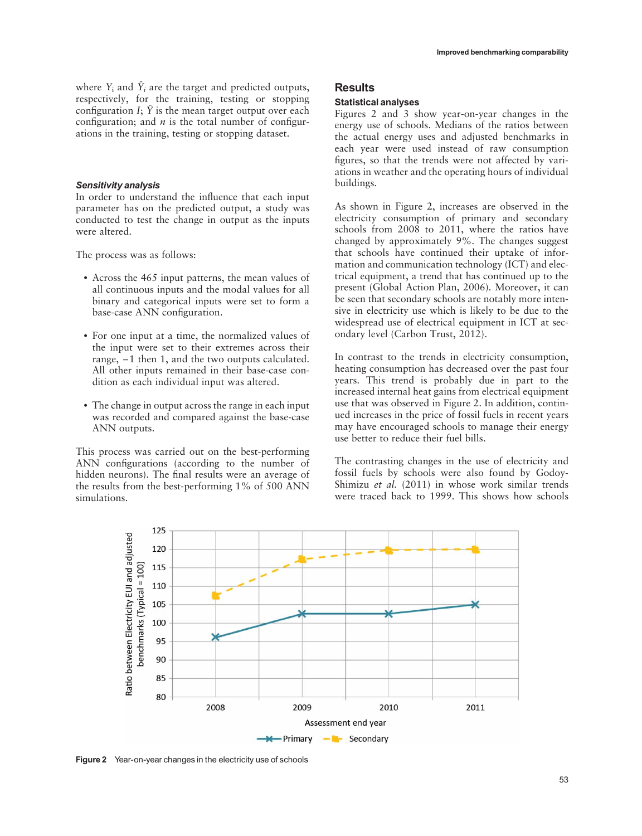#### Sensitivity analysis

In order to understand the influence that each input parameter has on the predicted output, a study was conducted to test the change in output as the inputs were altered.

The process was as follows:

- . Across the 465 input patterns, the mean values of all continuous inputs and the modal values for all binary and categorical inputs were set to form a base-case ANN configuration.
- . For one input at a time, the normalized values of the input were set to their extremes across their range, –1 then 1, and the two outputs calculated. All other inputs remained in their base-case condition as each individual input was altered.
- . The change in output across the range in each input was recorded and compared against the base-case ANN outputs.

This process was carried out on the best-performing ANN configurations (according to the number of hidden neurons). The final results were an average of the results from the best-performing 1% of 500 ANN simulations.

# **Results**

#### Statistical analyses

Figures 2 and 3 show year-on-year changes in the energy use of schools. Medians of the ratios between the actual energy uses and adjusted benchmarks in each year were used instead of raw consumption figures, so that the trends were not affected by variations in weather and the operating hours of individual buildings.

As shown in Figure 2, increases are observed in the electricity consumption of primary and secondary schools from 2008 to 2011, where the ratios have changed by approximately 9%. The changes suggest that schools have continued their uptake of information and communication technology (ICT) and electrical equipment, a trend that has continued up to the present (Global Action Plan, 2006). Moreover, it can be seen that secondary schools are notably more intensive in electricity use which is likely to be due to the widespread use of electrical equipment in ICT at secondary level (Carbon Trust, 2012).

In contrast to the trends in electricity consumption, heating consumption has decreased over the past four years. This trend is probably due in part to the increased internal heat gains from electrical equipment use that was observed in Figure 2. In addition, continued increases in the price of fossil fuels in recent years may have encouraged schools to manage their energy use better to reduce their fuel bills.

The contrasting changes in the use of electricity and fossil fuels by schools were also found by Godoy-Shimizu et al. (2011) in whose work similar trends were traced back to 1999. This shows how schools



Figure 2 Year-on-year changes in the electricity use of schools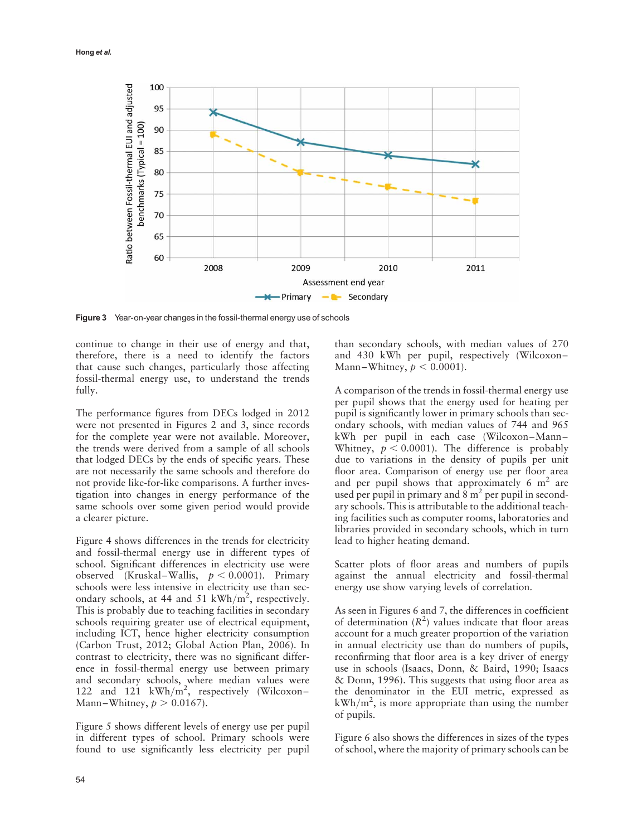

Figure 3 Year-on-year changes in the fossil-thermal energy use of schools

continue to change in their use of energy and that, therefore, there is a need to identify the factors that cause such changes, particularly those affecting fossil-thermal energy use, to understand the trends fully.

The performance figures from DECs lodged in 2012 were not presented in Figures 2 and 3, since records for the complete year were not available. Moreover, the trends were derived from a sample of all schools that lodged DECs by the ends of specific years. These are not necessarily the same schools and therefore do not provide like-for-like comparisons. A further investigation into changes in energy performance of the same schools over some given period would provide a clearer picture.

Figure 4 shows differences in the trends for electricity and fossil-thermal energy use in different types of school. Significant differences in electricity use were observed (Kruskal–Wallis,  $p < 0.0001$ ). Primary schools were less intensive in electricity use than secondary schools, at 44 and 51 kWh/m<sup>2</sup>, respectively. This is probably due to teaching facilities in secondary schools requiring greater use of electrical equipment, including ICT, hence higher electricity consumption (Carbon Trust, 2012; Global Action Plan, 2006). In contrast to electricity, there was no significant difference in fossil-thermal energy use between primary and secondary schools, where median values were 122 and 121 kWh/m<sup>2</sup>, respectively (Wilcoxon-Mann-Whitney,  $p > 0.0167$ ).

Figure 5 shows different levels of energy use per pupil in different types of school. Primary schools were found to use significantly less electricity per pupil than secondary schools, with median values of 270 and 430 kWh per pupil, respectively (Wilcoxon – Mann-Whitney,  $p < 0.0001$ ).

A comparison of the trends in fossil-thermal energy use per pupil shows that the energy used for heating per pupil is significantly lower in primary schools than secondary schools, with median values of 744 and 965 kWh per pupil in each case (Wilcoxon-Mann-Whitney,  $p < 0.0001$ ). The difference is probably due to variations in the density of pupils per unit floor area. Comparison of energy use per floor area and per pupil shows that approximately 6  $m<sup>2</sup>$  are used per pupil in primary and  $8 \text{ m}^2$  per pupil in secondary schools. This is attributable to the additional teaching facilities such as computer rooms, laboratories and libraries provided in secondary schools, which in turn lead to higher heating demand.

Scatter plots of floor areas and numbers of pupils against the annual electricity and fossil-thermal energy use show varying levels of correlation.

As seen in Figures 6 and 7, the differences in coefficient of determination  $(R^2)$  values indicate that floor areas account for a much greater proportion of the variation in annual electricity use than do numbers of pupils, reconfirming that floor area is a key driver of energy use in schools (Isaacs, Donn, & Baird, 1990; Isaacs & Donn, 1996). This suggests that using floor area as the denominator in the EUI metric, expressed as  $kWh/m<sup>2</sup>$ , is more appropriate than using the number of pupils.

Figure 6 also shows the differences in sizes of the types of school, where the majority of primary schools can be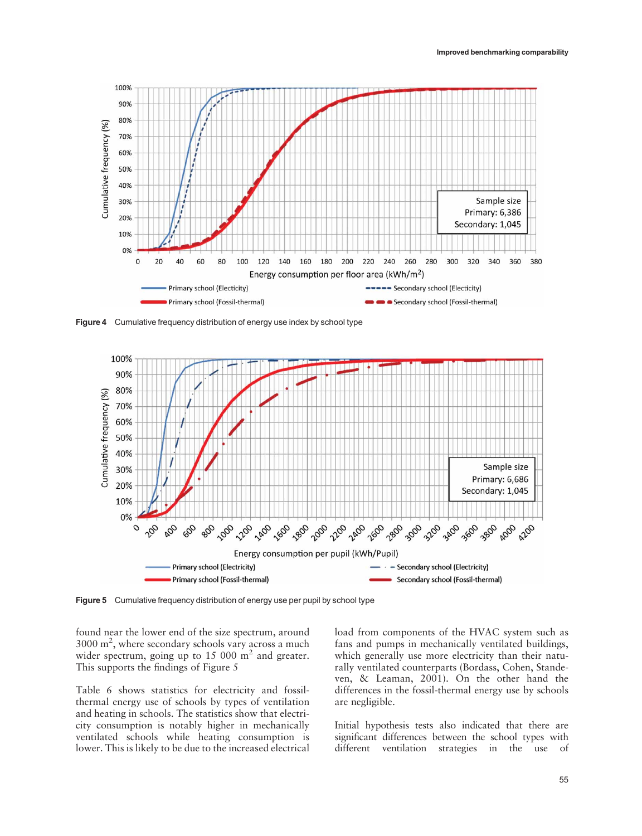

Figure 4 Cumulative frequency distribution of energy use index by school type



Figure 5 Cumulative frequency distribution of energy use per pupil by school type

found near the lower end of the size spectrum, around 3000 m<sup>2</sup> , where secondary schools vary across a much wider spectrum, going up to  $15\ 000\ \text{m}^2$  and greater. This supports the findings of Figure 5

Table 6 shows statistics for electricity and fossilthermal energy use of schools by types of ventilation and heating in schools. The statistics show that electricity consumption is notably higher in mechanically ventilated schools while heating consumption is lower. This is likely to be due to the increased electrical load from components of the HVAC system such as fans and pumps in mechanically ventilated buildings, which generally use more electricity than their naturally ventilated counterparts (Bordass, Cohen, Standeven, & Leaman, 2001). On the other hand the differences in the fossil-thermal energy use by schools are negligible.

Initial hypothesis tests also indicated that there are significant differences between the school types with different ventilation strategies in the use of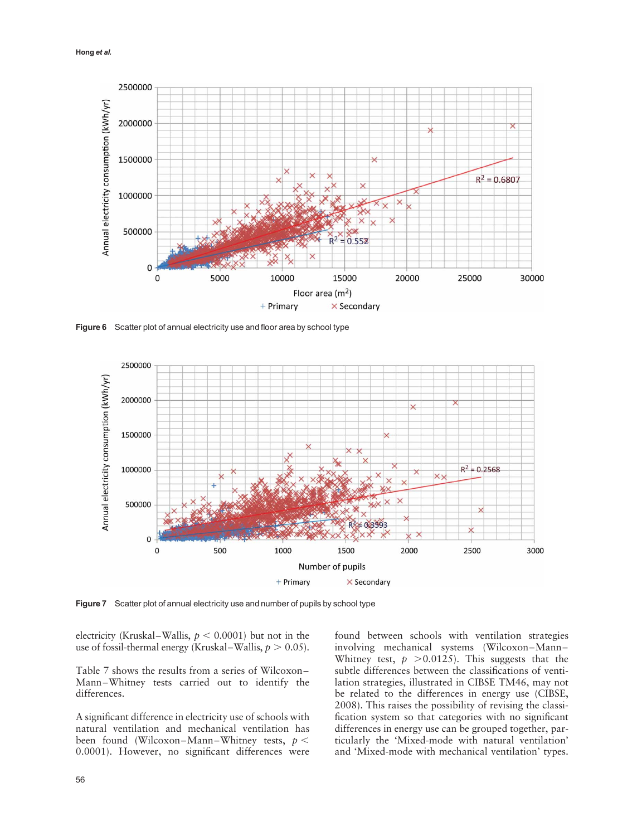

Figure 6 Scatter plot of annual electricity use and floor area by school type



Figure 7 Scatter plot of annual electricity use and number of pupils by school type

electricity (Kruskal–Wallis,  $p < 0.0001$ ) but not in the use of fossil-thermal energy (Kruskal–Wallis,  $p > 0.05$ ).

Table 7 shows the results from a series of Wilcoxon – Mann –Whitney tests carried out to identify the differences.

A significant difference in electricity use of schools with natural ventilation and mechanical ventilation has been found (Wilcoxon-Mann-Whitney tests,  $p <$ 0.0001). However, no significant differences were

found between schools with ventilation strategies involving mechanical systems (Wilcoxon-Mann-Whitney test,  $p > 0.0125$ ). This suggests that the subtle differences between the classifications of ventilation strategies, illustrated in CIBSE TM46, may not be related to the differences in energy use (CIBSE, 2008). This raises the possibility of revising the classification system so that categories with no significant differences in energy use can be grouped together, particularly the 'Mixed-mode with natural ventilation' and 'Mixed-mode with mechanical ventilation' types.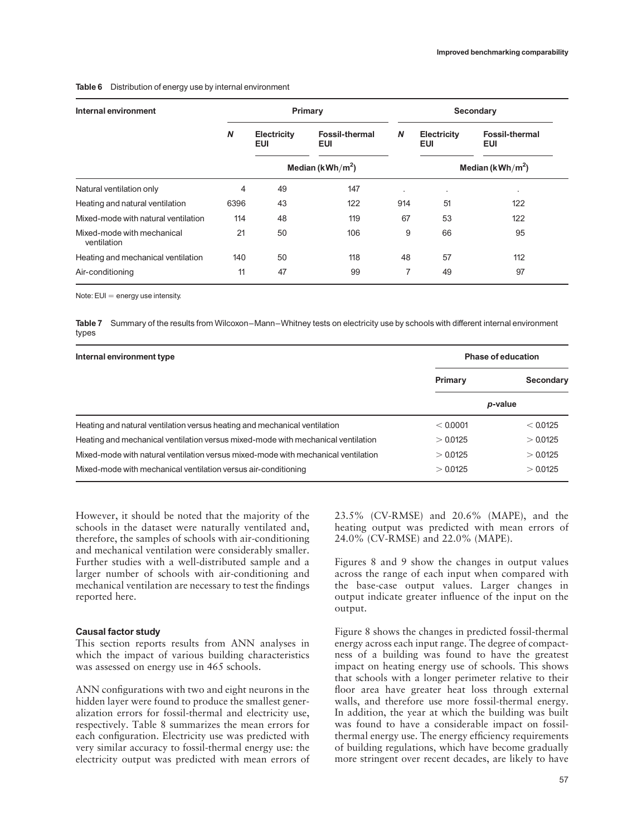#### Table 6 Distribution of energy use by internal environment

| Internal environment                      | Primary          |                              |                              |     | Secondary                    |                                     |  |
|-------------------------------------------|------------------|------------------------------|------------------------------|-----|------------------------------|-------------------------------------|--|
|                                           | $\boldsymbol{N}$ | Electricity<br>EUI           | <b>Fossil-thermal</b><br>EUI | N   | Electricity<br>EUI           | <b>Fossil-thermal</b><br><b>EUI</b> |  |
|                                           |                  | Median (kWh/m <sup>2</sup> ) |                              |     | Median (kWh/m <sup>2</sup> ) |                                     |  |
| Natural ventilation only                  | 4                | 49                           | 147                          | ٠   | ٠                            | $\blacksquare$                      |  |
| Heating and natural ventilation           | 6396             | 43                           | 122                          | 914 | 51                           | 122                                 |  |
| Mixed-mode with natural ventilation       | 114              | 48                           | 119                          | 67  | 53                           | 122                                 |  |
| Mixed-mode with mechanical<br>ventilation | 21               | 50                           | 106                          | 9   | 66                           | 95                                  |  |
| Heating and mechanical ventilation        | 140              | 50                           | 118                          | 48  | 57                           | 112                                 |  |
| Air-conditioning                          | 11               | 47                           | 99                           | 7   | 49                           | 97                                  |  |

Note:  $EUI = energy$  use intensity.

Table 7 Summary of the results from Wilcoxon–Mann–Whitney tests on electricity use by schools with different internal environment types

| Internal environment type                                                         | Phase of education |           |  |
|-----------------------------------------------------------------------------------|--------------------|-----------|--|
|                                                                                   | Primary            | Secondary |  |
|                                                                                   |                    | p-value   |  |
| Heating and natural ventilation versus heating and mechanical ventilation         | < 0.0001           | < 0.0125  |  |
| Heating and mechanical ventilation versus mixed-mode with mechanical ventilation  | > 0.0125           | > 0.0125  |  |
| Mixed-mode with natural ventilation versus mixed-mode with mechanical ventilation | > 0.0125           | >0.0125   |  |
| Mixed-mode with mechanical ventilation versus air-conditioning                    | > 0.0125           | > 0.0125  |  |

However, it should be noted that the majority of the schools in the dataset were naturally ventilated and, therefore, the samples of schools with air-conditioning and mechanical ventilation were considerably smaller. Further studies with a well-distributed sample and a larger number of schools with air-conditioning and mechanical ventilation are necessary to test the findings reported here.

#### Causal factor study

This section reports results from ANN analyses in which the impact of various building characteristics was assessed on energy use in 465 schools.

ANN configurations with two and eight neurons in the hidden layer were found to produce the smallest generalization errors for fossil-thermal and electricity use, respectively. Table 8 summarizes the mean errors for each configuration. Electricity use was predicted with very similar accuracy to fossil-thermal energy use: the electricity output was predicted with mean errors of 23.5% (CV-RMSE) and 20.6% (MAPE), and the heating output was predicted with mean errors of 24.0% (CV-RMSE) and 22.0% (MAPE).

Figures 8 and 9 show the changes in output values across the range of each input when compared with the base-case output values. Larger changes in output indicate greater influence of the input on the output.

Figure 8 shows the changes in predicted fossil-thermal energy across each input range. The degree of compactness of a building was found to have the greatest impact on heating energy use of schools. This shows that schools with a longer perimeter relative to their floor area have greater heat loss through external walls, and therefore use more fossil-thermal energy. In addition, the year at which the building was built was found to have a considerable impact on fossilthermal energy use. The energy efficiency requirements of building regulations, which have become gradually more stringent over recent decades, are likely to have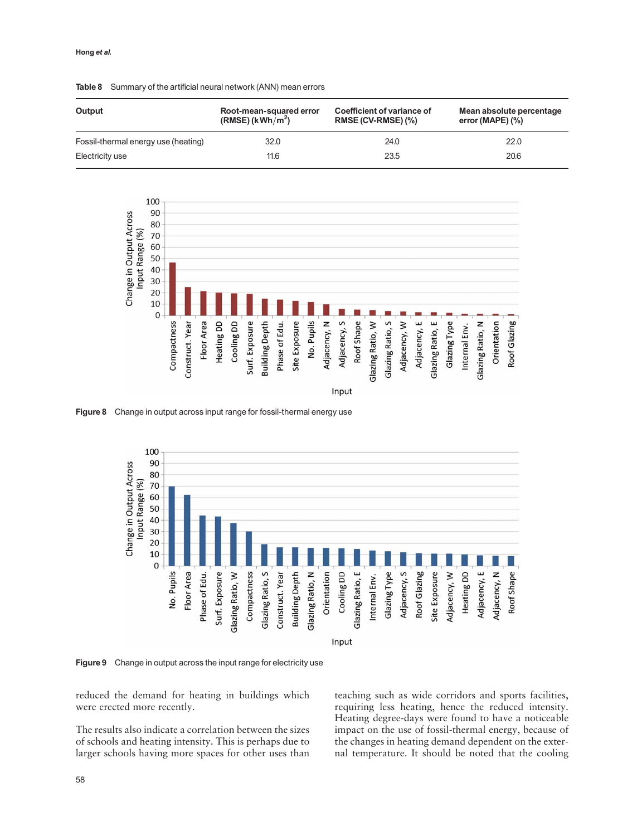#### Hong et al.

| Output                              | Root-mean-squared error<br>$(RMSE)$ (kWh/m <sup>2</sup> ) | Coefficient of variance of<br>RMSE (CV-RMSE) (%) | Mean absolute percentage<br>error (MAPE) $(\%)$ |
|-------------------------------------|-----------------------------------------------------------|--------------------------------------------------|-------------------------------------------------|
| Fossil-thermal energy use (heating) | 32.0                                                      | 24.0                                             | 22.0                                            |
| Electricity use                     | 11.6                                                      | 23.5                                             | 20.6                                            |

#### Table 8 Summary of the artificial neural network (ANN) mean errors



Figure 8 Change in output across input range for fossil-thermal energy use



Figure 9 Change in output across the input range for electricity use

reduced the demand for heating in buildings which were erected more recently.

The results also indicate a correlation between the sizes of schools and heating intensity. This is perhaps due to larger schools having more spaces for other uses than teaching such as wide corridors and sports facilities, requiring less heating, hence the reduced intensity. Heating degree-days were found to have a noticeable impact on the use of fossil-thermal energy, because of the changes in heating demand dependent on the external temperature. It should be noted that the cooling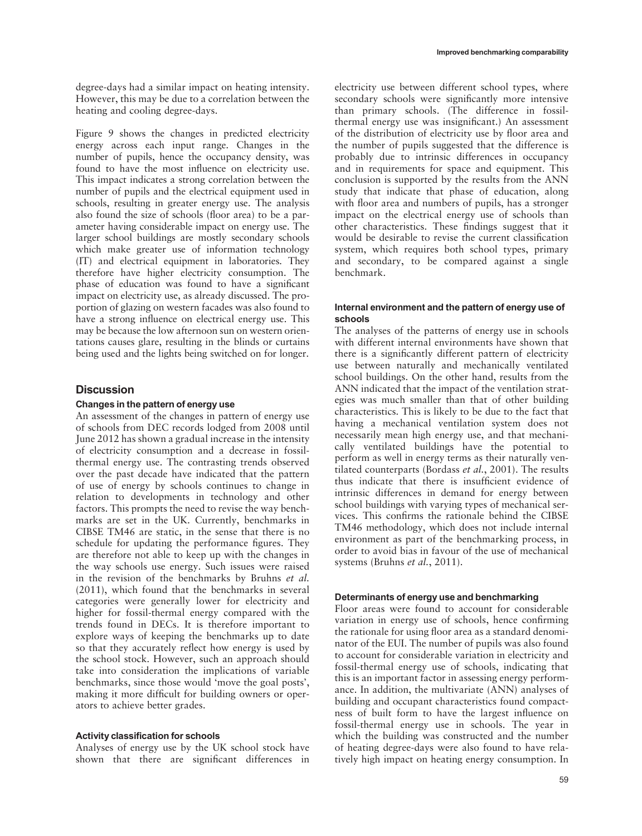Figure 9 shows the changes in predicted electricity energy across each input range. Changes in the number of pupils, hence the occupancy density, was found to have the most influence on electricity use. This impact indicates a strong correlation between the number of pupils and the electrical equipment used in schools, resulting in greater energy use. The analysis also found the size of schools (floor area) to be a parameter having considerable impact on energy use. The larger school buildings are mostly secondary schools which make greater use of information technology (IT) and electrical equipment in laboratories. They therefore have higher electricity consumption. The phase of education was found to have a significant impact on electricity use, as already discussed. The proportion of glazing on western facades was also found to have a strong influence on electrical energy use. This may be because the low afternoon sun on western orientations causes glare, resulting in the blinds or curtains being used and the lights being switched on for longer.

# **Discussion**

# Changes in the pattern of energy use

An assessment of the changes in pattern of energy use of schools from DEC records lodged from 2008 until June 2012 has shown a gradual increase in the intensity of electricity consumption and a decrease in fossilthermal energy use. The contrasting trends observed over the past decade have indicated that the pattern of use of energy by schools continues to change in relation to developments in technology and other factors. This prompts the need to revise the way benchmarks are set in the UK. Currently, benchmarks in CIBSE TM46 are static, in the sense that there is no schedule for updating the performance figures. They are therefore not able to keep up with the changes in the way schools use energy. Such issues were raised in the revision of the benchmarks by Bruhns et al. (2011), which found that the benchmarks in several categories were generally lower for electricity and higher for fossil-thermal energy compared with the trends found in DECs. It is therefore important to explore ways of keeping the benchmarks up to date so that they accurately reflect how energy is used by the school stock. However, such an approach should take into consideration the implications of variable benchmarks, since those would 'move the goal posts', making it more difficult for building owners or operators to achieve better grades.

## Activity classification for schools

Analyses of energy use by the UK school stock have shown that there are significant differences in electricity use between different school types, where secondary schools were significantly more intensive than primary schools. (The difference in fossilthermal energy use was insignificant.) An assessment of the distribution of electricity use by floor area and the number of pupils suggested that the difference is probably due to intrinsic differences in occupancy and in requirements for space and equipment. This conclusion is supported by the results from the ANN study that indicate that phase of education, along with floor area and numbers of pupils, has a stronger impact on the electrical energy use of schools than other characteristics. These findings suggest that it would be desirable to revise the current classification system, which requires both school types, primary and secondary, to be compared against a single benchmark.

#### Internal environment and the pattern of energy use of schools

The analyses of the patterns of energy use in schools with different internal environments have shown that there is a significantly different pattern of electricity use between naturally and mechanically ventilated school buildings. On the other hand, results from the ANN indicated that the impact of the ventilation strategies was much smaller than that of other building characteristics. This is likely to be due to the fact that having a mechanical ventilation system does not necessarily mean high energy use, and that mechanically ventilated buildings have the potential to perform as well in energy terms as their naturally ventilated counterparts (Bordass et al., 2001). The results thus indicate that there is insufficient evidence of intrinsic differences in demand for energy between school buildings with varying types of mechanical services. This confirms the rationale behind the CIBSE TM46 methodology, which does not include internal environment as part of the benchmarking process, in order to avoid bias in favour of the use of mechanical systems (Bruhns et al., 2011).

## Determinants of energy use and benchmarking

Floor areas were found to account for considerable variation in energy use of schools, hence confirming the rationale for using floor area as a standard denominator of the EUI. The number of pupils was also found to account for considerable variation in electricity and fossil-thermal energy use of schools, indicating that this is an important factor in assessing energy performance. In addition, the multivariate (ANN) analyses of building and occupant characteristics found compactness of built form to have the largest influence on fossil-thermal energy use in schools. The year in which the building was constructed and the number of heating degree-days were also found to have relatively high impact on heating energy consumption. In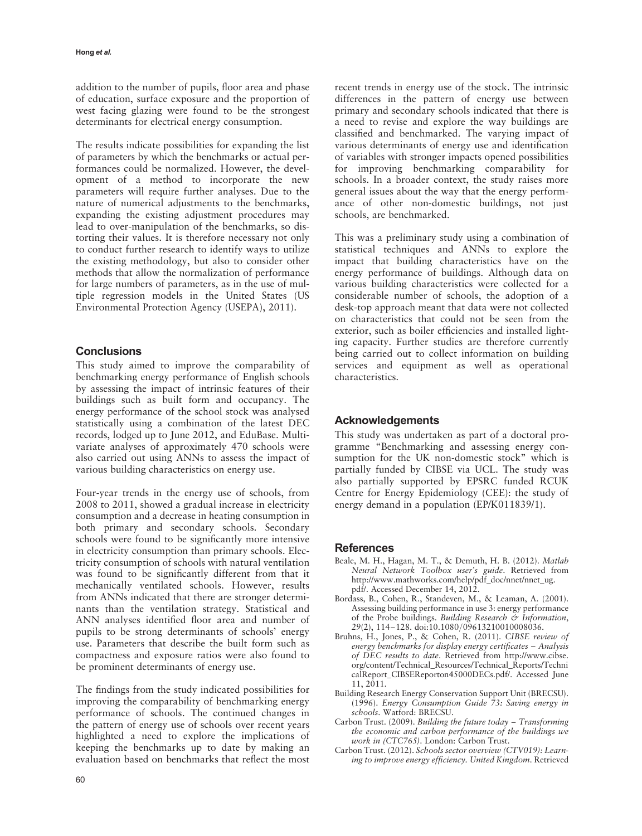addition to the number of pupils, floor area and phase of education, surface exposure and the proportion of west facing glazing were found to be the strongest determinants for electrical energy consumption.

The results indicate possibilities for expanding the list of parameters by which the benchmarks or actual performances could be normalized. However, the development of a method to incorporate the new parameters will require further analyses. Due to the nature of numerical adjustments to the benchmarks, expanding the existing adjustment procedures may lead to over-manipulation of the benchmarks, so distorting their values. It is therefore necessary not only to conduct further research to identify ways to utilize the existing methodology, but also to consider other methods that allow the normalization of performance for large numbers of parameters, as in the use of multiple regression models in the United States (US Environmental Protection Agency (USEPA), 2011).

# **Conclusions**

This study aimed to improve the comparability of benchmarking energy performance of English schools by assessing the impact of intrinsic features of their buildings such as built form and occupancy. The energy performance of the school stock was analysed statistically using a combination of the latest DEC records, lodged up to June 2012, and EduBase. Multivariate analyses of approximately 470 schools were also carried out using ANNs to assess the impact of various building characteristics on energy use.

Four-year trends in the energy use of schools, from 2008 to 2011, showed a gradual increase in electricity consumption and a decrease in heating consumption in both primary and secondary schools. Secondary schools were found to be significantly more intensive in electricity consumption than primary schools. Electricity consumption of schools with natural ventilation was found to be significantly different from that it mechanically ventilated schools. However, results from ANNs indicated that there are stronger determinants than the ventilation strategy. Statistical and ANN analyses identified floor area and number of pupils to be strong determinants of schools' energy use. Parameters that describe the built form such as compactness and exposure ratios were also found to be prominent determinants of energy use.

The findings from the study indicated possibilities for improving the comparability of benchmarking energy performance of schools. The continued changes in the pattern of energy use of schools over recent years highlighted a need to explore the implications of keeping the benchmarks up to date by making an evaluation based on benchmarks that reflect the most

recent trends in energy use of the stock. The intrinsic differences in the pattern of energy use between primary and secondary schools indicated that there is a need to revise and explore the way buildings are classified and benchmarked. The varying impact of various determinants of energy use and identification of variables with stronger impacts opened possibilities for improving benchmarking comparability for schools. In a broader context, the study raises more general issues about the way that the energy performance of other non-domestic buildings, not just schools, are benchmarked.

This was a preliminary study using a combination of statistical techniques and ANNs to explore the impact that building characteristics have on the energy performance of buildings. Although data on various building characteristics were collected for a considerable number of schools, the adoption of a desk-top approach meant that data were not collected on characteristics that could not be seen from the exterior, such as boiler efficiencies and installed lighting capacity. Further studies are therefore currently being carried out to collect information on building services and equipment as well as operational characteristics.

# Acknowledgements

This study was undertaken as part of a doctoral programme "Benchmarking and assessing energy consumption for the UK non-domestic stock" which is partially funded by CIBSE via UCL. The study was also partially supported by EPSRC funded RCUK Centre for Energy Epidemiology (CEE): the study of energy demand in a population (EP/K011839/1).

## **References**

- Beale, M. H., Hagan, M. T., & Demuth, H. B. (2012). Matlab Neural Network Toolbox user's guide. Retrieved from [http://www.mathworks.com/help/pdf\\_doc/nnet/nnet\\_ug.](http://www.mathworks.com/help/pdf_doc/nnet/nnet_ug.pdf/) [pdf/.](http://www.mathworks.com/help/pdf_doc/nnet/nnet_ug.pdf/) Accessed December 14, 2012.
- Bordass, B., Cohen, R., Standeven, M., & Leaman, A. (2001). Assessing building performance in use 3: energy performance of the Probe buildings. Building Research & Information, 29(2), 114–128. doi:10.1080/09613210010008036.
- Bruhns, H., Jones, P., & Cohen, R. (2011). CIBSE review of energy benchmarks for display energy certificates – Analysis of DEC results to date. Retrieved from [http://www.cibse.](http://www.cibse.org/content/Technical_Resources/Technical_Reports/TechnicalReport_CIBSEReporton45000DECs.pdf/) [org/content/Technical\\_Resources/Technical\\_Reports/Techni](http://www.cibse.org/content/Technical_Resources/Technical_Reports/TechnicalReport_CIBSEReporton45000DECs.pdf/) [calReport\\_CIBSEReporton45000DECs.pdf/](http://www.cibse.org/content/Technical_Resources/Technical_Reports/TechnicalReport_CIBSEReporton45000DECs.pdf/). Accessed June 11, 2011.
- Building Research Energy Conservation Support Unit (BRECSU). (1996). Energy Consumption Guide 73: Saving energy in schools. Watford: BRECSU.
- Carbon Trust. (2009). Building the future today Transforming the economic and carbon performance of the buildings we work in (CTC765). London: Carbon Trust.
- Carbon Trust. (2012). Schools sector overview (CTV019): Learning to improve energy efficiency. United Kingdom. Retrieved